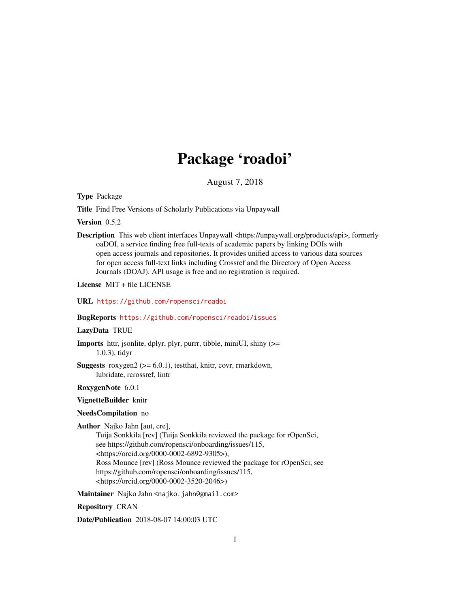## Package 'roadoi'

August 7, 2018

<span id="page-0-0"></span>Type Package

Title Find Free Versions of Scholarly Publications via Unpaywall

Version 0.5.2

Description This web client interfaces Unpaywall <https://unpaywall.org/products/api>, formerly oaDOI, a service finding free full-texts of academic papers by linking DOIs with open access journals and repositories. It provides unified access to various data sources for open access full-text links including Crossref and the Directory of Open Access Journals (DOAJ). API usage is free and no registration is required.

License MIT + file LICENSE

URL <https://github.com/ropensci/roadoi>

### BugReports <https://github.com/ropensci/roadoi/issues>

### LazyData TRUE

Imports httr, jsonlite, dplyr, plyr, purrr, tibble, miniUI, shiny (>= 1.0.3), tidyr

**Suggests** roxygen2 ( $>= 6.0.1$ ), testthat, knitr, covr, rmarkdown, lubridate, rcrossref, lintr

RoxygenNote 6.0.1

VignetteBuilder knitr

### NeedsCompilation no

Author Najko Jahn [aut, cre],

Tuija Sonkkila [rev] (Tuija Sonkkila reviewed the package for rOpenSci, see https://github.com/ropensci/onboarding/issues/115, <https://orcid.org/0000-0002-6892-9305>), Ross Mounce [rev] (Ross Mounce reviewed the package for rOpenSci, see https://github.com/ropensci/onboarding/issues/115, <https://orcid.org/0000-0002-3520-2046>)

Maintainer Najko Jahn <najko.jahn@gmail.com>

Repository CRAN

Date/Publication 2018-08-07 14:00:03 UTC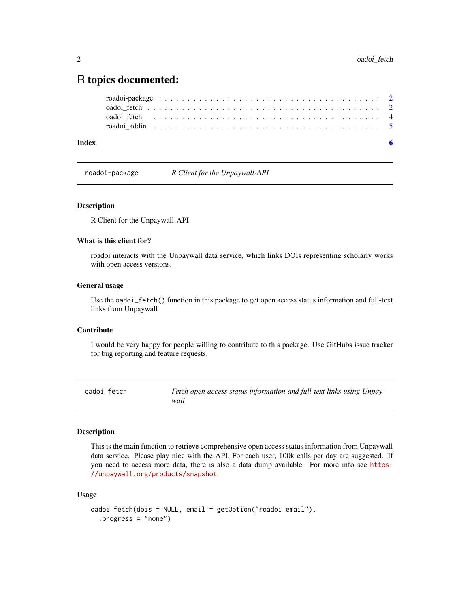### <span id="page-1-0"></span>R topics documented:

| Index |  |  |  |  |  |  |  |  |  |  |  |  |  |  |  |  |  |  |
|-------|--|--|--|--|--|--|--|--|--|--|--|--|--|--|--|--|--|--|

roadoi-package *R Client for the Unpaywall-API*

### Description

R Client for the Unpaywall-API

### What is this client for?

roadoi interacts with the Unpaywall data service, which links DOIs representing scholarly works with open access versions.

### General usage

Use the oadoi\_fetch() function in this package to get open access status information and full-text links from Unpaywall

### Contribute

I would be very happy for people willing to contribute to this package. Use GitHubs issue tracker for bug reporting and feature requests.

<span id="page-1-1"></span>oadoi\_fetch *Fetch open access status information and full-text links using Unpaywall*

### Description

This is the main function to retrieve comprehensive open access status information from Unpaywall data service. Please play nice with the API. For each user, 100k calls per day are suggested. If you need to access more data, there is also a data dump available. For more info see [https:](https://unpaywall.org/products/snapshot) [//unpaywall.org/products/snapshot](https://unpaywall.org/products/snapshot).

### Usage

```
oadoi_fetch(dois = NULL, email = getOption("roadoi_email"),
  .progress = "none")
```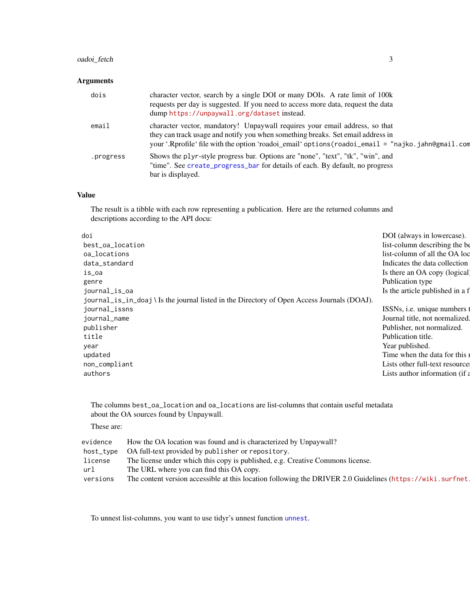### <span id="page-2-0"></span>oadoi\_fetch 3

### Arguments

| dois      | character vector, search by a single DOI or many DOIs. A rate limit of 100k<br>requests per day is suggested. If you need to access more data, request the data<br>dump https://unpaywall.org/dataset instead.                                                       |
|-----------|----------------------------------------------------------------------------------------------------------------------------------------------------------------------------------------------------------------------------------------------------------------------|
| email     | character vector, mandatory! Unpaywall requires your email address, so that<br>they can track usage and notify you when something breaks. Set email address in<br>your '.Rprofile' file with the option 'roadoi_email' options (roadoi_email = "najko.jahn@gmail.com |
| .progress | Shows the plyr-style progress bar. Options are "none", "text", "tk", "win", and<br>"time". See create_progress_bar for details of each. By default, no progress<br>bar is displayed.                                                                                 |

### Value

The result is a tibble with each row representing a publication. Here are the returned columns and descriptions according to the API docu:

| doi                                                                                         | DOI (always in lowercase).      |
|---------------------------------------------------------------------------------------------|---------------------------------|
| best_oa_location                                                                            | list-column describing the be   |
| oa_locations                                                                                | list-column of all the OA loc   |
| data_standard                                                                               | Indicates the data collection   |
| is_oa                                                                                       | Is there an OA copy (logical)   |
| genre                                                                                       | Publication type                |
| journal_is_oa                                                                               | Is the article published in a f |
| journal_is_in_doaj \ Is the journal listed in the Directory of Open Access Journals (DOAJ). |                                 |
| journal_issns                                                                               | ISSNs, i.e. unique numbers t    |
| journal_name                                                                                | Journal title, not normalized.  |
| publisher                                                                                   | Publisher, not normalized.      |
| title                                                                                       | Publication title.              |
| year                                                                                        | Year published.                 |
| updated                                                                                     | Time when the data for this 1   |
| non_compliant                                                                               | Lists other full-text resource  |
| authors                                                                                     | Lists author information (if a  |
|                                                                                             |                                 |

The columns best\_oa\_location and oa\_locations are list-columns that contain useful metadata about the OA sources found by Unpaywall.

### These are:

| evidence | How the OA location was found and is characterized by Unpaywall?                                           |
|----------|------------------------------------------------------------------------------------------------------------|
|          | host_type OA full-text provided by publisher or repository.                                                |
| license  | The license under which this copy is published, e.g. Creative Commons license.                             |
| url      | The URL where you can find this OA copy.                                                                   |
| versions | The content version accessible at this location following the DRIVER 2.0 Guidelines (https://wiki.surfnet. |

To unnest list-columns, you want to use tidyr's unnest function [unnest](#page-0-0).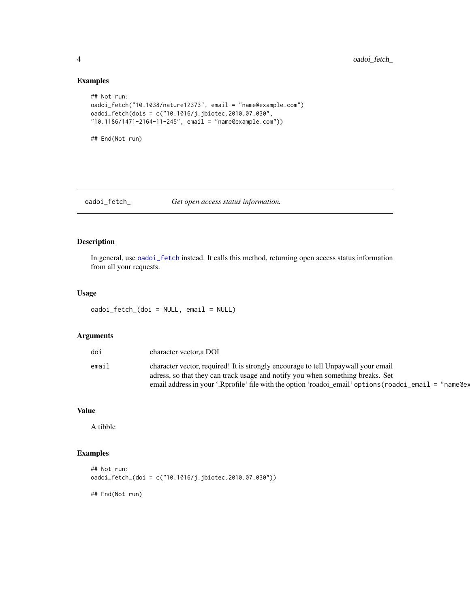<span id="page-3-0"></span>4 oadoi\_fetch\_

### Examples

```
## Not run:
oadoi_fetch("10.1038/nature12373", email = "name@example.com")
oadoi_fetch(dois = c("10.1016/j.jbiotec.2010.07.030",
"10.1186/1471-2164-11-245", email = "name@example.com"))
```
## End(Not run)

### oadoi\_fetch\_ *Get open access status information.*

### Description

In general, use [oadoi\\_fetch](#page-1-1) instead. It calls this method, returning open access status information from all your requests.

### Usage

```
oadoi_fetch_(doi = NULL, email = NULL)
```
### Arguments

| doi   | character vector, a DOI                                                                                |
|-------|--------------------------------------------------------------------------------------------------------|
| email | character vector, required! It is strongly encourage to tell Unpaywall your email                      |
|       | adress, so that they can track usage and notify you when something breaks. Set                         |
|       | email address in your '.Rprofile' file with the option 'roadoi_email' options (roadoi_email = "name@ex |

### Value

A tibble

### Examples

```
## Not run:
oadoi_fetch_(doi = c("10.1016/j.jbiotec.2010.07.030"))
```
## End(Not run)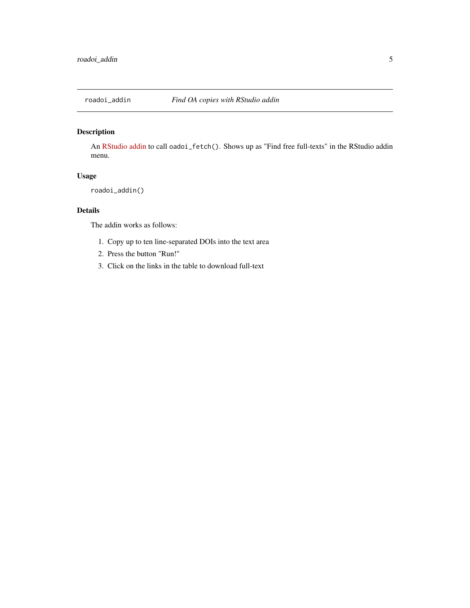<span id="page-4-0"></span>

### Description

An [RStudio addin](https://rstudio.github.io/rstudioaddins/) to call oadoi\_fetch(). Shows up as "Find free full-texts" in the RStudio addin menu.

### Usage

```
roadoi_addin()
```
### Details

The addin works as follows:

- 1. Copy up to ten line-separated DOIs into the text area
- 2. Press the button "Run!"
- 3. Click on the links in the table to download full-text